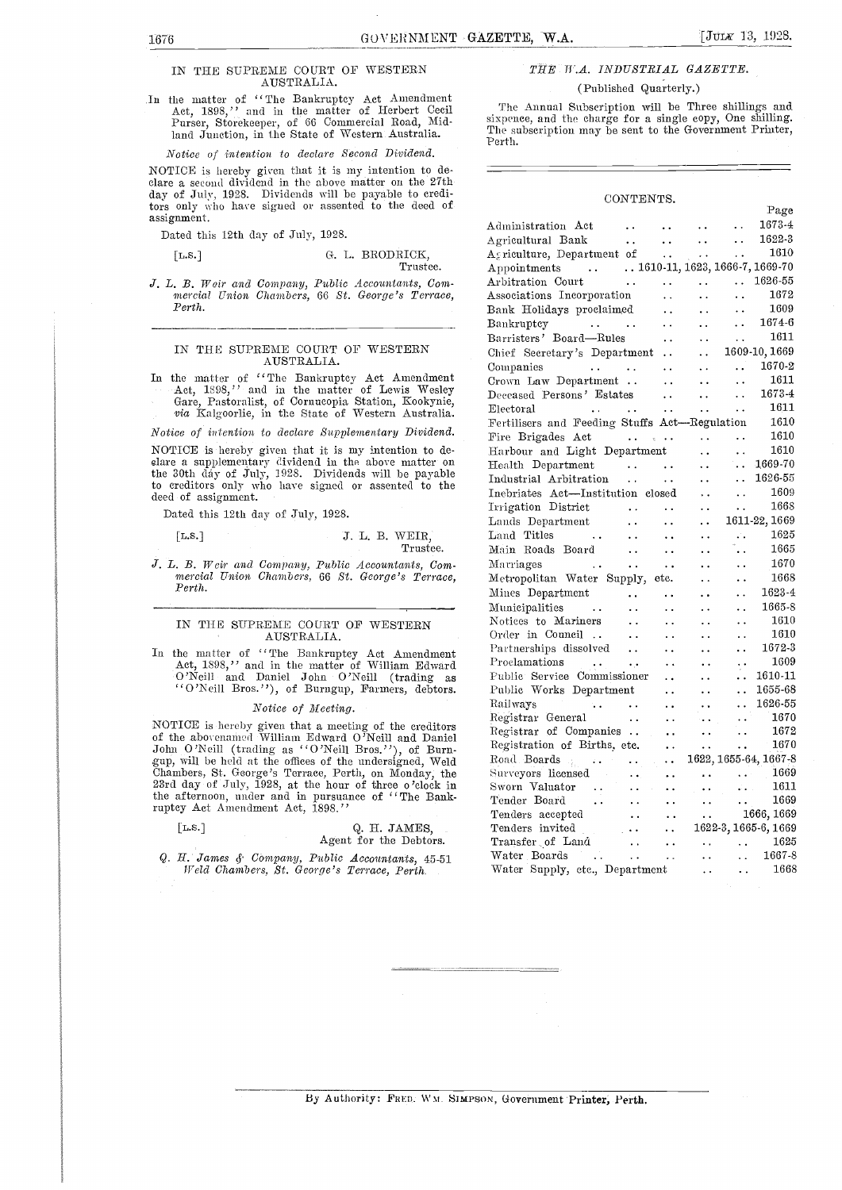## IN THE SUPREME COURT OF WESTERN AUSTRALIA.

In the matter of "The Bankruptcy Act Amendment<br>Act, 1898," and in the matter of Herbert Cecil The Annual Subscription will be Three shillings and<br>Pursey Storekeeper of 66 Commercial Road, Mid-<br>Sixpence, and the charge for Purser, Storekeeper, of 66 Commercial Road, Midland Junction, in the State of Western Australia.

#### Notice of intention to declare Second Dividend.

NOTICE is hereby given that it is my intention to de- clare a second dividend in the above matter on the 27th day of July, 1928. Dividends will be payable to creditors only who have signed or assented to the deed of assignment.

Dated this 12th day of July, 1928.

## [L.s.] G. I.. BRODRICK,

#### Trustee.

J. L. B. Weir and Company, Public Accountants, Com- mercial Union Chambers, 66 St. George's Terrace, Perth.

### IN THE SUPREME COURT OF WESTERN AUSTRALIA.

In the matter of "The Bankruptcy Act Amendment Act, 1898," and in the matter of Lewis Wesley Gare, Pastoralist, of Cornucopia Station, Kookynie, via Kalgoorlie, in the State of Western Australia.

Notice of intention to declare Supplementary Dividend.

NOTICE is hereby given that it is my intention to de- Harbel<br>slare a supplementary dividend in the above matter on Healt the 30th day of July, 1928. Dividends will be payable  $\frac{1}{2}$   $\frac{1}{2}$ to creditors only who have signed or assented to the deed of assignment.

Dated this 12th day of July, 1928.

## [L.s.] J. L. B. WEIR, Trustee.

J. L. B. Weir and Company, Public Accountants, Com- mercial Union Chambers, 66 St. George's Terrace, Perth.

## IN THE SUPREME COURT OF WESTERN AUSTRALIA.

In the matter of "The Bankruptcy Act Amendment Act, 1898," and in the matter of William Edward Prock O'Neill and Daniel John O'Neill (trading as "O'Neill Bros. "), of Burngup, Farmers, debtors.

#### Notice of Meeting.

NOTICE is hereby given that a meeting of the creditors of the abovenamed William Edward O'Neill and Daniel John O'Neill (trading as "O'Neill Bros."), of Burn-John O'Neill (trading as "O'Neill Bros."), of Burn-<br>gup, will be held at the offices of the undersigned, Weld Chambers, St. George's Terrace, Perth, on Monday, the Surve<br>23rd day of July, 1928, at the hour of three o 'cloc the afternoon, under and in pursuance of "The Bankruptcy Act Amendment Act, 1898."

## [L.s.] Q. H. JAMES,

Agent for the Debtors.

Q. H. James 4. COmpany, Public Accountants, 45-51 Weld Chambers, St. George's Terrace, Perth.

## THE MA. INDUSTRIAL GAZETTE.

## (Published Quarterly.)

The Annual Subscription will be Three shillings and The subscription may be sent to the Government Printer, Perth.

#### CONTENTS.

|                                                                                                                                                                                                                                        |                                                                                                                                                                     |                                                                                                                                                                                                                                                                                                                                                                                                            |                                                                                                                                                                                                                                                                                                                                                                                                                                                             |                                                             | Page                                                                                                |  |
|----------------------------------------------------------------------------------------------------------------------------------------------------------------------------------------------------------------------------------------|---------------------------------------------------------------------------------------------------------------------------------------------------------------------|------------------------------------------------------------------------------------------------------------------------------------------------------------------------------------------------------------------------------------------------------------------------------------------------------------------------------------------------------------------------------------------------------------|-------------------------------------------------------------------------------------------------------------------------------------------------------------------------------------------------------------------------------------------------------------------------------------------------------------------------------------------------------------------------------------------------------------------------------------------------------------|-------------------------------------------------------------|-----------------------------------------------------------------------------------------------------|--|
| Administration Act                                                                                                                                                                                                                     |                                                                                                                                                                     |                                                                                                                                                                                                                                                                                                                                                                                                            | $\mathcal{L}(\mathcal{L}(\mathcal{L}(\mathcal{L}(\mathcal{L}(\mathcal{L}(\mathcal{L}(\mathcal{L}(\mathcal{L}(\mathcal{L}(\mathcal{L}(\mathcal{L}(\mathcal{L}(\mathcal{L}(\mathcal{L}(\mathcal{L}(\mathcal{L}(\mathcal{L}(\mathcal{L}(\mathcal{L}(\mathcal{L}(\mathcal{L}(\mathcal{L}(\mathcal{L}(\mathcal{L}(\mathcal{L}(\mathcal{L}(\mathcal{L}(\mathcal{L}(\mathcal{L}(\mathcal{L}(\mathcal{L}(\mathcal{L}(\mathcal{L}(\mathcal{L}(\mathcal{L}(\mathcal{$ |                                                             | 1673-4                                                                                              |  |
|                                                                                                                                                                                                                                        |                                                                                                                                                                     |                                                                                                                                                                                                                                                                                                                                                                                                            | $\sim$ $\sim$                                                                                                                                                                                                                                                                                                                                                                                                                                               | $\sim 10^{-1}$                                              | 1622-3                                                                                              |  |
| Agricultural Bank<br>Agriculture, Department of                                                                                                                                                                                        |                                                                                                                                                                     |                                                                                                                                                                                                                                                                                                                                                                                                            | $\sim$ $\sim$                                                                                                                                                                                                                                                                                                                                                                                                                                               | $\sim 10^{-1}$                                              | 1610                                                                                                |  |
|                                                                                                                                                                                                                                        |                                                                                                                                                                     |                                                                                                                                                                                                                                                                                                                                                                                                            |                                                                                                                                                                                                                                                                                                                                                                                                                                                             |                                                             |                                                                                                     |  |
| Appointments 1610-11, 1623, 1666-7, 1669-70<br>Arbitration Court 1626-55                                                                                                                                                               |                                                                                                                                                                     |                                                                                                                                                                                                                                                                                                                                                                                                            |                                                                                                                                                                                                                                                                                                                                                                                                                                                             |                                                             |                                                                                                     |  |
| Associations Incorporation                                                                                                                                                                                                             |                                                                                                                                                                     | $\sim 10^{-10}$                                                                                                                                                                                                                                                                                                                                                                                            | $\sim 100$                                                                                                                                                                                                                                                                                                                                                                                                                                                  | $\ddotsc$                                                   | 1672                                                                                                |  |
| Bank Holidays proclaimed                                                                                                                                                                                                               |                                                                                                                                                                     | $\begin{aligned} \frac{1}{\sqrt{2\pi}}\frac{1}{\sqrt{2\pi}}\frac{1}{\sqrt{2\pi}}\frac{1}{\sqrt{2\pi}}\frac{1}{\sqrt{2\pi}}\frac{1}{\sqrt{2\pi}}\frac{1}{\sqrt{2\pi}}\frac{1}{\sqrt{2\pi}}\frac{1}{\sqrt{2\pi}}\frac{1}{\sqrt{2\pi}}\frac{1}{\sqrt{2\pi}}\frac{1}{\sqrt{2\pi}}\frac{1}{\sqrt{2\pi}}\frac{1}{\sqrt{2\pi}}\frac{1}{\sqrt{2\pi}}\frac{1}{\sqrt{2\pi}}\frac{1}{\sqrt{2\pi}}\frac{1}{\sqrt{2\pi$ | $\sim 10^{-1}$                                                                                                                                                                                                                                                                                                                                                                                                                                              | $\ddotsc$                                                   | 1609                                                                                                |  |
| Bankruptcy<br>المستحدث المتعارف والمتحدث                                                                                                                                                                                               |                                                                                                                                                                     |                                                                                                                                                                                                                                                                                                                                                                                                            | $\sim 10^{-10}$                                                                                                                                                                                                                                                                                                                                                                                                                                             | $\ddotsc$                                                   | 1674-6                                                                                              |  |
| Barristers' Board—Rules                                                                                                                                                                                                                |                                                                                                                                                                     | $\sim$ $\sim$ $\sim$                                                                                                                                                                                                                                                                                                                                                                                       | $\sim 10^{-1}$                                                                                                                                                                                                                                                                                                                                                                                                                                              | $\ddotsc$                                                   | 1611                                                                                                |  |
| Chief Secretary's Department  . 1609-10, 1669                                                                                                                                                                                          |                                                                                                                                                                     |                                                                                                                                                                                                                                                                                                                                                                                                            |                                                                                                                                                                                                                                                                                                                                                                                                                                                             |                                                             |                                                                                                     |  |
| Companies                                                                                                                                                                                                                              |                                                                                                                                                                     |                                                                                                                                                                                                                                                                                                                                                                                                            |                                                                                                                                                                                                                                                                                                                                                                                                                                                             |                                                             | $\ldots$ 1670-2                                                                                     |  |
| $\begin{array}{ccccccccc}\n\cdot & \cdot & \cdot & \cdot & \cdot & \cdot \\ \downarrow & \text{Department} & \cdot & \cdot & \cdot & \cdot & \cdot\n\end{array}$<br>Crown Law Department                                               |                                                                                                                                                                     |                                                                                                                                                                                                                                                                                                                                                                                                            |                                                                                                                                                                                                                                                                                                                                                                                                                                                             | $\ddotsc$                                                   | 1611                                                                                                |  |
| Deceased Persons' Estates                                                                                                                                                                                                              |                                                                                                                                                                     |                                                                                                                                                                                                                                                                                                                                                                                                            | $\sim 100$ km s $^{-1}$                                                                                                                                                                                                                                                                                                                                                                                                                                     | $\ddot{\phantom{a}}$ .                                      | 1673-4                                                                                              |  |
| Electoral<br>$\mathcal{L}_{\text{max}}$ and $\mathcal{L}_{\text{max}}$ and $\mathcal{L}_{\text{max}}$                                                                                                                                  |                                                                                                                                                                     | $\frac{1}{2} \frac{1}{2} \frac{1}{2}$ .                                                                                                                                                                                                                                                                                                                                                                    | $\ddot{\phantom{a}}$ .                                                                                                                                                                                                                                                                                                                                                                                                                                      | $\ddotsc$                                                   | 1611                                                                                                |  |
| Fertilisers and Feeding Stuffs Act-Regulation                                                                                                                                                                                          |                                                                                                                                                                     |                                                                                                                                                                                                                                                                                                                                                                                                            |                                                                                                                                                                                                                                                                                                                                                                                                                                                             |                                                             | 1610                                                                                                |  |
|                                                                                                                                                                                                                                        |                                                                                                                                                                     |                                                                                                                                                                                                                                                                                                                                                                                                            |                                                                                                                                                                                                                                                                                                                                                                                                                                                             |                                                             | 1610                                                                                                |  |
| Harbour and Light Department                                                                                                                                                                                                           |                                                                                                                                                                     |                                                                                                                                                                                                                                                                                                                                                                                                            |                                                                                                                                                                                                                                                                                                                                                                                                                                                             | $\sim 10^{-1}$                                              | 1610                                                                                                |  |
| Health Department                                                                                                                                                                                                                      |                                                                                                                                                                     |                                                                                                                                                                                                                                                                                                                                                                                                            | $\sim 100$ km $^{-1}$                                                                                                                                                                                                                                                                                                                                                                                                                                       |                                                             | $\ldots$ 1669-70                                                                                    |  |
|                                                                                                                                                                                                                                        |                                                                                                                                                                     |                                                                                                                                                                                                                                                                                                                                                                                                            |                                                                                                                                                                                                                                                                                                                                                                                                                                                             |                                                             | 1626-55                                                                                             |  |
| Industrial Arbitration<br>Inebriates Act—Institution closed                                                                                                                                                                            |                                                                                                                                                                     |                                                                                                                                                                                                                                                                                                                                                                                                            |                                                                                                                                                                                                                                                                                                                                                                                                                                                             |                                                             | 1609                                                                                                |  |
| Irrigation District                                                                                                                                                                                                                    |                                                                                                                                                                     |                                                                                                                                                                                                                                                                                                                                                                                                            | $\ddot{\phantom{a}}$ .                                                                                                                                                                                                                                                                                                                                                                                                                                      | $\ddotsc$                                                   | 1668                                                                                                |  |
| Lands Department                                                                                                                                                                                                                       | $\begin{array}{l} \begin{array}{c} \text{if } \mathbf{r} \in \mathbb{R}^n, \\ \mathbf{r} \in \mathbb{R}^n, \\ \mathbf{r} \in \mathbb{R}^n, \end{array} \end{array}$ |                                                                                                                                                                                                                                                                                                                                                                                                            | $\sim 10^{-10}$                                                                                                                                                                                                                                                                                                                                                                                                                                             |                                                             | 1611-22, 1669                                                                                       |  |
| Land Titles                                                                                                                                                                                                                            |                                                                                                                                                                     |                                                                                                                                                                                                                                                                                                                                                                                                            | $\sim 10^{-1}$                                                                                                                                                                                                                                                                                                                                                                                                                                              | $\sim$                                                      | $1625\,$                                                                                            |  |
| Main Roads Board                                                                                                                                                                                                                       | $\sim 10^{-1}$                                                                                                                                                      | $\left\langle \cdot, \cdot \right\rangle$                                                                                                                                                                                                                                                                                                                                                                  | $\sim$ $\sim$                                                                                                                                                                                                                                                                                                                                                                                                                                               | u.                                                          | 1665                                                                                                |  |
| Marriages<br>$\sim 10^{11}$ km $^{-1}$                                                                                                                                                                                                 | $\sim 100$                                                                                                                                                          | $\sim 10^{-1}$                                                                                                                                                                                                                                                                                                                                                                                             | $\ddotsc$                                                                                                                                                                                                                                                                                                                                                                                                                                                   | $\ddot{\phantom{a}}$                                        | 1670                                                                                                |  |
| Metropolitan Water Supply, etc.                                                                                                                                                                                                        |                                                                                                                                                                     |                                                                                                                                                                                                                                                                                                                                                                                                            | $\sim 10^{-1}$                                                                                                                                                                                                                                                                                                                                                                                                                                              | $\ddot{\phantom{0}}$                                        | 1668                                                                                                |  |
|                                                                                                                                                                                                                                        |                                                                                                                                                                     |                                                                                                                                                                                                                                                                                                                                                                                                            | $\ddot{\phantom{a}}$                                                                                                                                                                                                                                                                                                                                                                                                                                        |                                                             | $\frac{1623}{1623}$                                                                                 |  |
| Mines Department<br>Municipalities                                                                                                                                                                                                     |                                                                                                                                                                     |                                                                                                                                                                                                                                                                                                                                                                                                            | $\sim 10^{-1}$                                                                                                                                                                                                                                                                                                                                                                                                                                              | $\mathbf{L}$                                                | 1665-8                                                                                              |  |
|                                                                                                                                                                                                                                        |                                                                                                                                                                     |                                                                                                                                                                                                                                                                                                                                                                                                            | $\sim$ $\sim$                                                                                                                                                                                                                                                                                                                                                                                                                                               | $\ddot{\phantom{a}}$                                        | 1610                                                                                                |  |
|                                                                                                                                                                                                                                        |                                                                                                                                                                     |                                                                                                                                                                                                                                                                                                                                                                                                            | $\sim 10^{-1}$                                                                                                                                                                                                                                                                                                                                                                                                                                              | сý,                                                         | 1610                                                                                                |  |
|                                                                                                                                                                                                                                        |                                                                                                                                                                     |                                                                                                                                                                                                                                                                                                                                                                                                            |                                                                                                                                                                                                                                                                                                                                                                                                                                                             | $\ddots$                                                    | 1672-3                                                                                              |  |
|                                                                                                                                                                                                                                        |                                                                                                                                                                     |                                                                                                                                                                                                                                                                                                                                                                                                            | $\frac{1}{2}$                                                                                                                                                                                                                                                                                                                                                                                                                                               |                                                             | $\cdot$ 1609                                                                                        |  |
|                                                                                                                                                                                                                                        |                                                                                                                                                                     |                                                                                                                                                                                                                                                                                                                                                                                                            | $\mathbb{R}^2$                                                                                                                                                                                                                                                                                                                                                                                                                                              | $\ddotsc$                                                   | 1610-11                                                                                             |  |
| Public Service Commissioner<br>Public Works Department                                                                                                                                                                                 |                                                                                                                                                                     |                                                                                                                                                                                                                                                                                                                                                                                                            | $\sim$ $\sim$                                                                                                                                                                                                                                                                                                                                                                                                                                               | $\ddotsc$                                                   | 1655-68                                                                                             |  |
| Railways                                                                                                                                                                                                                               |                                                                                                                                                                     |                                                                                                                                                                                                                                                                                                                                                                                                            | $\langle\cdot\,\cdot\rangle$                                                                                                                                                                                                                                                                                                                                                                                                                                | $\ddotsc$                                                   | 1626-55                                                                                             |  |
| $\begin{array}{ccccccccc}\n\cdot & \cdot & \cdot & \cdot & \cdot \\ \text{eneral} & & \cdot & \cdot & \cdot\n\end{array}$<br>Registrar General                                                                                         |                                                                                                                                                                     |                                                                                                                                                                                                                                                                                                                                                                                                            | $\sim$ $\sim$                                                                                                                                                                                                                                                                                                                                                                                                                                               | $\ddot{\phantom{a}}$                                        | 1670                                                                                                |  |
|                                                                                                                                                                                                                                        |                                                                                                                                                                     |                                                                                                                                                                                                                                                                                                                                                                                                            |                                                                                                                                                                                                                                                                                                                                                                                                                                                             |                                                             |                                                                                                     |  |
|                                                                                                                                                                                                                                        |                                                                                                                                                                     |                                                                                                                                                                                                                                                                                                                                                                                                            |                                                                                                                                                                                                                                                                                                                                                                                                                                                             |                                                             |                                                                                                     |  |
| 1670<br>Registration of Births, etc. 1672<br>Registration of Births, etc. 1670<br>Road Boards<br>Surveyors licensed<br>Sworn Valueter                                                                                                  |                                                                                                                                                                     |                                                                                                                                                                                                                                                                                                                                                                                                            |                                                                                                                                                                                                                                                                                                                                                                                                                                                             |                                                             |                                                                                                     |  |
|                                                                                                                                                                                                                                        |                                                                                                                                                                     |                                                                                                                                                                                                                                                                                                                                                                                                            |                                                                                                                                                                                                                                                                                                                                                                                                                                                             |                                                             |                                                                                                     |  |
|                                                                                                                                                                                                                                        |                                                                                                                                                                     |                                                                                                                                                                                                                                                                                                                                                                                                            |                                                                                                                                                                                                                                                                                                                                                                                                                                                             | $\sim 100$                                                  | 1611                                                                                                |  |
| Sworn Valuator<br>Tender Board<br>Allen Allen Allen Allen Allen Allen Allen Allen Allen Allen Allen Allen Allen Allen Allen Allen Allen Allen Allen Allen Allen Allen Allen Allen Allen Allen Allen Allen Allen Allen Allen Allen Al   |                                                                                                                                                                     |                                                                                                                                                                                                                                                                                                                                                                                                            |                                                                                                                                                                                                                                                                                                                                                                                                                                                             | $\mathbf{1}$ , $\mathbf{1}$                                 | 1669                                                                                                |  |
|                                                                                                                                                                                                                                        |                                                                                                                                                                     |                                                                                                                                                                                                                                                                                                                                                                                                            |                                                                                                                                                                                                                                                                                                                                                                                                                                                             |                                                             | $\begin{array}{ccc}\n & . & . & . & . & 1666, 1669 \\  & . & . & 1622-3, 1665-6, 1669\n\end{array}$ |  |
| Tenders accepted<br>Tenders invited<br>Tensfer of Land<br>Water Boards<br>Contract Correct Contract Contract Contract Contract Contract Contract Contract Contract Contract Contract Contract Contract Contract Contract Contract Cont |                                                                                                                                                                     |                                                                                                                                                                                                                                                                                                                                                                                                            |                                                                                                                                                                                                                                                                                                                                                                                                                                                             |                                                             |                                                                                                     |  |
|                                                                                                                                                                                                                                        |                                                                                                                                                                     |                                                                                                                                                                                                                                                                                                                                                                                                            |                                                                                                                                                                                                                                                                                                                                                                                                                                                             |                                                             | 1625                                                                                                |  |
|                                                                                                                                                                                                                                        |                                                                                                                                                                     |                                                                                                                                                                                                                                                                                                                                                                                                            |                                                                                                                                                                                                                                                                                                                                                                                                                                                             |                                                             | $\frac{1625}{1667-8}$                                                                               |  |
| Water Supply, etc., Department                                                                                                                                                                                                         |                                                                                                                                                                     |                                                                                                                                                                                                                                                                                                                                                                                                            | $\mathbf{z}$ , $\mathbf{z}$ , $\mathbf{z}$ , $\mathbf{z}$ , $\mathbf{z}$                                                                                                                                                                                                                                                                                                                                                                                    | $\bullet$ $\bullet$ $\bullet$ $\bullet$ $\bullet$ $\bullet$ | 1668                                                                                                |  |
|                                                                                                                                                                                                                                        |                                                                                                                                                                     |                                                                                                                                                                                                                                                                                                                                                                                                            |                                                                                                                                                                                                                                                                                                                                                                                                                                                             |                                                             |                                                                                                     |  |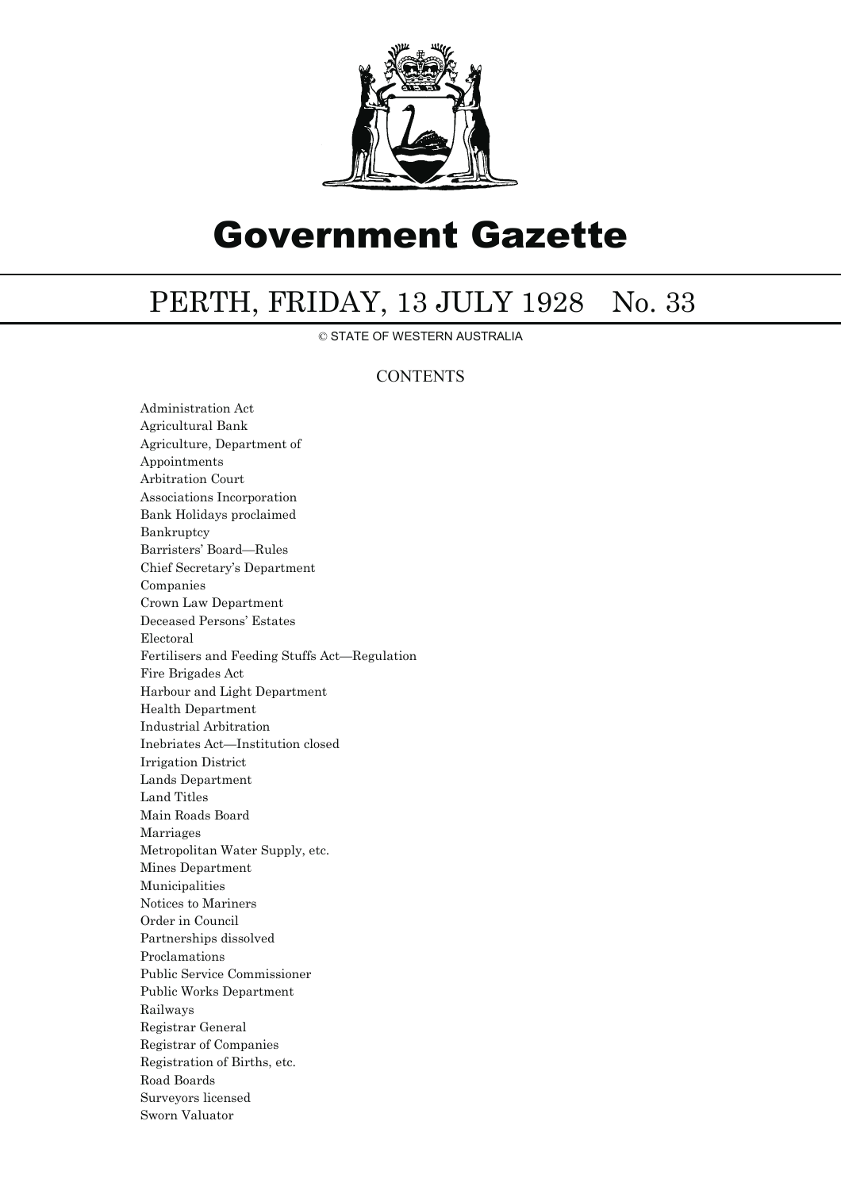

# Government Gazette

## PERTH, FRIDAY, 13 JULY 1928 No. 33

© STATE OF WESTERN AUSTRALIA

## **CONTENTS**

Administration Act Agricultural Bank Agriculture, Department of Appointments Arbitration Court Associations Incorporation Bank Holidays proclaimed Bankruptcy Barristers' Board—Rules Chief Secretary's Department Companies Crown Law Department Deceased Persons' Estates Electoral Fertilisers and Feeding Stuffs Act—Regulation Fire Brigades Act Harbour and Light Department Health Department Industrial Arbitration Inebriates Act—Institution closed Irrigation District Lands Department Land Titles Main Roads Board Marriages Metropolitan Water Supply, etc. Mines Department Municipalities Notices to Mariners Order in Council Partnerships dissolved Proclamations Public Service Commissioner Public Works Department Railways Registrar General Registrar of Companies Registration of Births, etc. Road Boards Surveyors licensed Sworn Valuator